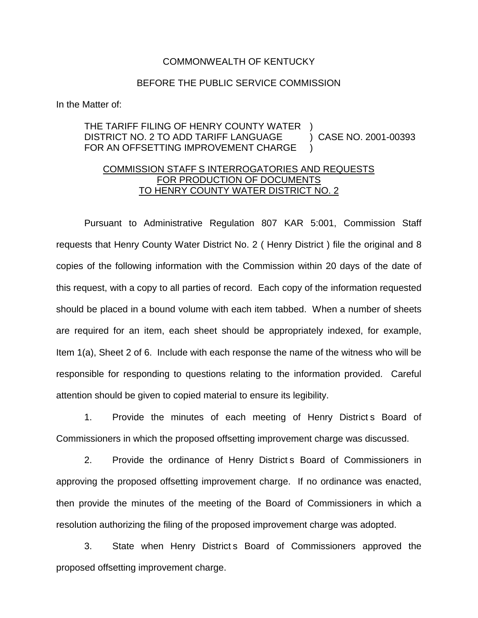## COMMONWEALTH OF KENTUCKY

## BEFORE THE PUBLIC SERVICE COMMISSION

In the Matter of:

## THE TARIFF FILING OF HENRY COUNTY WATER ) DISTRICT NO. 2 TO ADD TARIFF LANGUAGE FOR AN OFFSETTING IMPROVEMENT CHARGE ) CASE NO. 2001-00393 )

## COMMISSION STAFF S INTERROGATORIES AND REQUESTS FOR PRODUCTION OF DOCUMENTS TO HENRY COUNTY WATER DISTRICT NO. 2

Pursuant to Administrative Regulation 807 KAR 5:001, Commission Staff requests that Henry County Water District No. 2 ( Henry District ) file the original and 8 copies of the following information with the Commission within 20 days of the date of this request, with a copy to all parties of record. Each copy of the information requested should be placed in a bound volume with each item tabbed. When a number of sheets are required for an item, each sheet should be appropriately indexed, for example, Item 1(a), Sheet 2 of 6. Include with each response the name of the witness who will be responsible for responding to questions relating to the information provided. Careful attention should be given to copied material to ensure its legibility.

1. Provide the minutes of each meeting of Henry District s Board of Commissioners in which the proposed offsetting improvement charge was discussed.

2. Provide the ordinance of Henry District s Board of Commissioners in approving the proposed offsetting improvement charge. If no ordinance was enacted, then provide the minutes of the meeting of the Board of Commissioners in which a resolution authorizing the filing of the proposed improvement charge was adopted.

3. State when Henry District s Board of Commissioners approved the proposed offsetting improvement charge.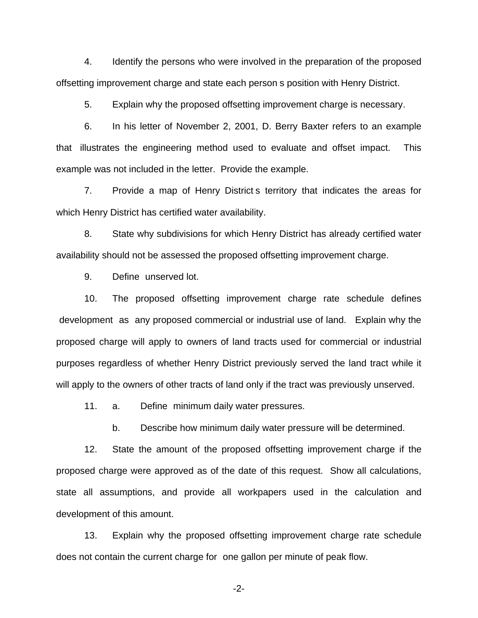4. Identify the persons who were involved in the preparation of the proposed offsetting improvement charge and state each person s position with Henry District.

5. Explain why the proposed offsetting improvement charge is necessary.

6. In his letter of November 2, 2001, D. Berry Baxter refers to an example that illustrates the engineering method used to evaluate and offset impact. This example was not included in the letter. Provide the example.

7. Provide a map of Henry District s territory that indicates the areas for which Henry District has certified water availability.

8. State why subdivisions for which Henry District has already certified water availability should not be assessed the proposed offsetting improvement charge.

9. Define unserved lot.

10. The proposed offsetting improvement charge rate schedule defines development as any proposed commercial or industrial use of land. Explain why the proposed charge will apply to owners of land tracts used for commercial or industrial purposes regardless of whether Henry District previously served the land tract while it will apply to the owners of other tracts of land only if the tract was previously unserved.

11. a. Define minimum daily water pressures.

b. Describe how minimum daily water pressure will be determined.

12. State the amount of the proposed offsetting improvement charge if the proposed charge were approved as of the date of this request. Show all calculations, state all assumptions, and provide all workpapers used in the calculation and development of this amount.

13. Explain why the proposed offsetting improvement charge rate schedule does not contain the current charge for one gallon per minute of peak flow.

-2-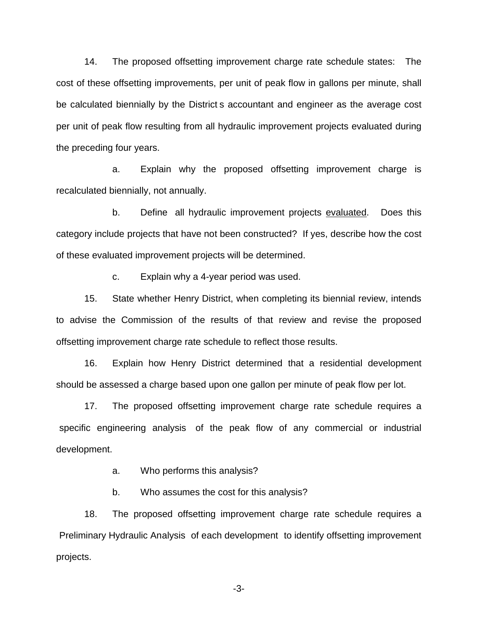14. The proposed offsetting improvement charge rate schedule states: The cost of these offsetting improvements, per unit of peak flow in gallons per minute, shall be calculated biennially by the District s accountant and engineer as the average cost per unit of peak flow resulting from all hydraulic improvement projects evaluated during the preceding four years.

a. Explain why the proposed offsetting improvement charge is recalculated biennially, not annually.

b. Define all hydraulic improvement projects evaluated. Does this category include projects that have not been constructed? If yes, describe how the cost of these evaluated improvement projects will be determined.

c. Explain why a 4-year period was used.

15. State whether Henry District, when completing its biennial review, intends to advise the Commission of the results of that review and revise the proposed offsetting improvement charge rate schedule to reflect those results.

16. Explain how Henry District determined that a residential development should be assessed a charge based upon one gallon per minute of peak flow per lot.

17. The proposed offsetting improvement charge rate schedule requires a specific engineering analysis of the peak flow of any commercial or industrial development.

a. Who performs this analysis?

b. Who assumes the cost for this analysis?

18. The proposed offsetting improvement charge rate schedule requires a Preliminary Hydraulic Analysis of each development to identify offsetting improvement projects.

-3-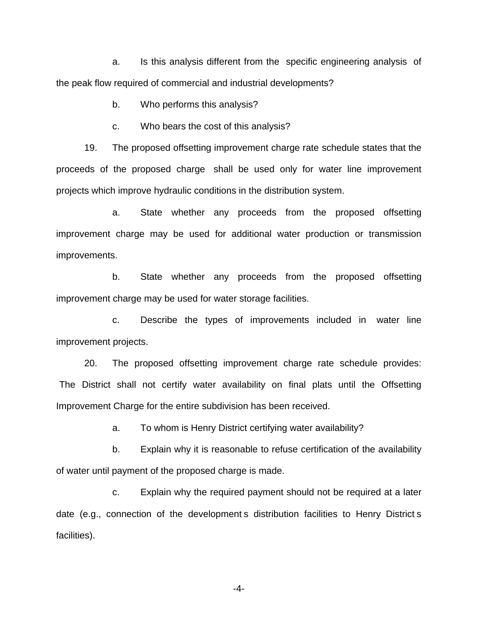a. Is this analysis different from the specific engineering analysis of the peak flow required of commercial and industrial developments?

b. Who performs this analysis?

c. Who bears the cost of this analysis?

19. The proposed offsetting improvement charge rate schedule states that the proceeds of the proposed charge shall be used only for water line improvement projects which improve hydraulic conditions in the distribution system.

a. State whether any proceeds from the proposed offsetting improvement charge may be used for additional water production or transmission improvements.

b. State whether any proceeds from the proposed offsetting improvement charge may be used for water storage facilities.

c. Describe the types of improvements included in water line improvement projects.

20. The proposed offsetting improvement charge rate schedule provides: The District shall not certify water availability on final plats until the Offsetting Improvement Charge for the entire subdivision has been received.

a. To whom is Henry District certifying water availability?

b. Explain why it is reasonable to refuse certification of the availability of water until payment of the proposed charge is made.

c. Explain why the required payment should not be required at a later date (e.g., connection of the development s distribution facilities to Henry District s facilities).

-4-